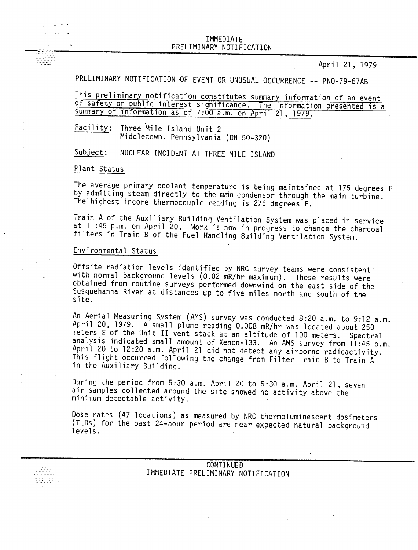## IMMEDIATE PRELIMINARY NOTIFICATION

April 21, 1979

PRELIMINARY NOTIFICATION DF EVENT OR UNUSUAL OCCURRENCE -- PNO-79-67AB

This preliminary notification constitutes summary information of an event of safety or public interest significance. The information presented is a summary of information as of 7:00 a.m. on April 21, 1979.

Facility: Three Mile Island Unit 2 Middletown, Pennsylvania (ON 50-320)

Subject: NUCLEAR INCIDENT AT THREE MILE ISLAND

Plant Status

ما الحامل إلى ال البدين البداعية

 $\begin{minipage}{0.5\textwidth} \begin{tabular}{@{}c@{}} \hline \multicolumn{1}{c}{\textbf{0.5\textwidth} \begin{tabular}{@{}c@{}} \hline \multicolumn{1}{c}{\textbf{0.5\textwidth} \begin{tabular}{@{}c@{}} \hline \multicolumn{1}{c}{\textbf{0.5\textwidth} \begin{tabular}{@{}c@{}} \hline \multicolumn{1}{c}{\textbf{0.5\textwidth} \begin{tabular}{@{}c@{}} \hline \multicolumn{1}{c}{\textbf{0.5\textwidth} \begin{tabular}{@{}c@{}} \hline \multicolumn{1}{c}{\textbf{0.5$ 

The average primary coolant temperature is being maintained at 175 degrees F by admitting steam directly to the main condensor through the main turbine. The highest incore thermocouple reading is 275 degrees F.

Train A of the Auxiliary Building Ventilation System was placed in service at 11 :45 p.m. on April 20. Work is now in progress to change the charcoal filters in Train B of the Fuel Handling Building Ventilation System.

## Environmental Status

Offsite radiation levels identified by NRC survey teams were consistent with normal background levels (0.02 mR/hr maximum). These results were obtained from routine surveys performed downwind on the east side of the Susquehanna River at distances up to five miles north and south of the site.

An Aerial Measuring System (AMS) survey was conducted 8:20 a.m. to 9:12 a.m. April 20, 1979. A small plume reading 0.008 mR/hr was located about 250 meters E of the Unit II vent stack at an altitude of 100 meters. Spectral analysis indicated small amount of Xenon-133. An AMS survey from ll:45 p.m. April 20 to 12:20 a.m. April 21 did not detect any airborne radioactivity. This flight occurred following the change from Filter Train B to Train A in the Auxiliary Building.

During the period from 5:30 a.m. April 20 to 5:30 a.m. April 21, seven air samples collected around the site showed no activity above the minimum detectable activity.

Dose rates (47 locations) as measured by NRC thermoluminescent dosimeters (TLDs) for the past 24-hour period are near expected natural background levels.

## CONTINUED IMMEDIATE PRELIMINARY NOTIFICATION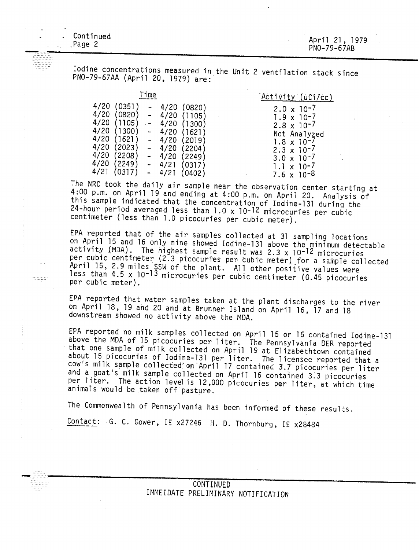Page 2 , . . . . .<br>——————

 $\ldots$ 

 $\frac{1}{2}$ 

April 21, 1979 PNO-79-67AB

Iodine concentrations measured in the Unit 2 ventilation stack since PNO-79-67AA (April 20, 1979) are:

| Time                                                                                                                                                       |                                                                                                                                                                                                                  | "Activity (uCi/cc)                                                                                                                                                                                           |
|------------------------------------------------------------------------------------------------------------------------------------------------------------|------------------------------------------------------------------------------------------------------------------------------------------------------------------------------------------------------------------|--------------------------------------------------------------------------------------------------------------------------------------------------------------------------------------------------------------|
| 4/20<br>0351]<br>4/20<br>(0820)<br>4/20<br>1105<br>4/20<br>(1300)<br>4/20<br>(1621)<br>4/20<br>2023)<br>4/20<br>(2208)<br>4/20<br>(2249)<br>4/21<br>(0317) | 4/20<br>(0820)<br>4/20<br>(1105)<br>$\overline{\phantom{0}}$<br>4/20<br>(1300)<br>4/20<br>(1621)<br>$\blacksquare$<br>4/20<br>(2019)<br>-<br>4/20<br>(2204)<br>4/20<br>2249)<br>4/21<br>(0317)<br>4/21<br>(0402) | $2.0 \times 10^{-7}$<br>$1.9 \times 10^{-7}$<br>$2.8 \times 10^{-7}$<br>Not Analyzed<br>$1.8 \times 10^{-7}$<br>$2.3 \times 10^{-7}$<br>$3.0 \times 10^{-7}$<br>$1.1 \times 10^{-7}$<br>$7.6 \times 10^{-8}$ |

The NRC took the daily air sample near the observation center starting at  $100$  p m cm and  $100$ 4:00 p.m. on April 19 and ending at 4:00 p.m. on April 20. Analysis of this sample indicated that the concentration of Iodine-131 during the 24-hour period averaged less than 1.0 x 10-12 microcuries per cubic centimeter (less than 1.0 picocuries per cubic meter).

EPA reported that of the air samples collected at 31 sampling locations on April 15 and 16 only nine showed Iodine-131 above the minimum detectable activity (MDA). The highest sample result was 2.3 x 10-12 microcuries per cubic centimeter (2.3 picocuries per cubic meter) for a sample collected April 15, 2.9 miles SSW of the plant. All other positive values were less than 4.5 x 10-13 microcuries per cubic centimeter (0.45 picocuries per cubic meter).

EPA reported that water samples taken at the plant discharges to the river on April 18, 19 and 20 and at Brunner Island on April 16, 17 and 18 downstream showed no activity above the MDA.

EPA reported no milk samples collected on April 15 or 16 contained Iodine-131 above the MDA of 15 picocuries per liter. The Pennsylvania DER reported that one sample of milk collected on April 19 at Elizabethtown contained about 15 picocuries of Iodine-131 per liter. The licensee reported that a cow's milk sample collected on April 17 contained 3.7 picocuries per liter and a goat's milk sample collected on April 16 contained 3:3 picocuries per liter. The action level is 12,000 picocuries per liter, at which time animals would be taken off' pasture.

The Commonwealth of Pennsylvania has been informed of these results.

Contact: G. C. Gower, IE x27246 H. D. Thornburg, IE x28484

CONTINUED IMMEIDATE PRELIMINARY NOTIFICATION